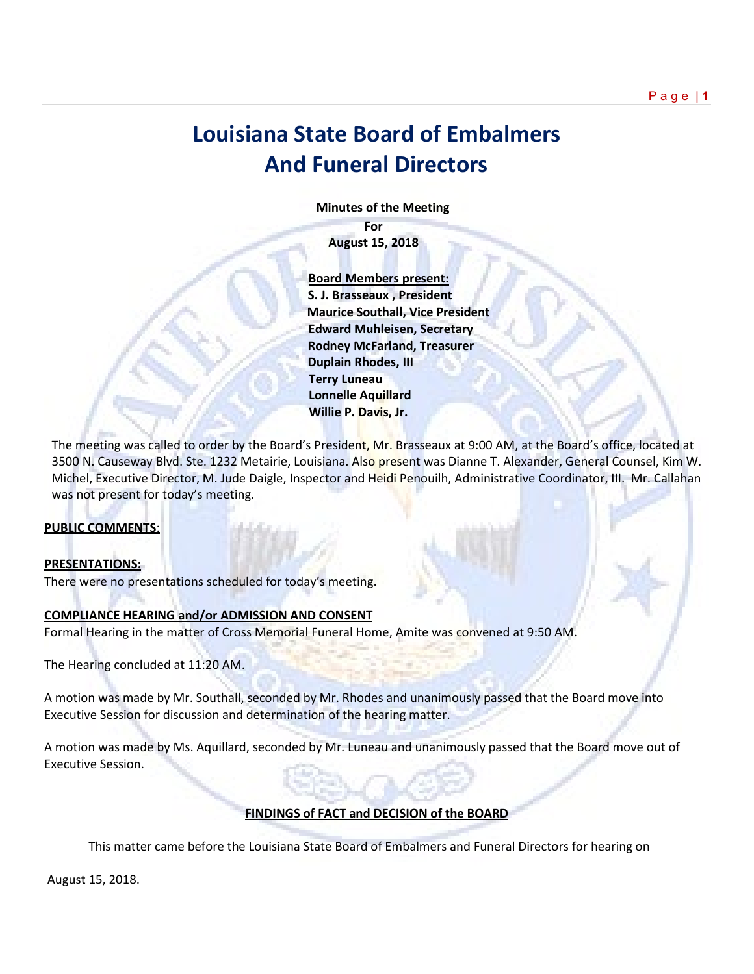# **Louisiana State Board of Embalmers And Funeral Directors**

 **Minutes of the Meeting**

**For August 15, 2018**

 **Board Members present: S. J. Brasseaux , President Maurice Southall, Vice President Edward Muhleisen, Secretary Rodney McFarland, Treasurer Duplain Rhodes, III Terry Luneau Lonnelle Aquillard Willie P. Davis, Jr.** 

The meeting was called to order by the Board's President, Mr. Brasseaux at 9:00 AM, at the Board's office, located at 3500 N. Causeway Blvd. Ste. 1232 Metairie, Louisiana. Also present was Dianne T. Alexander, General Counsel, Kim W. Michel, Executive Director, M. Jude Daigle, Inspector and Heidi Penouilh, Administrative Coordinator, III. Mr. Callahan was not present for today's meeting.

# **PUBLIC COMMENTS**:

#### **PRESENTATIONS:**

There were no presentations scheduled for today's meeting.

## **COMPLIANCE HEARING and/or ADMISSION AND CONSENT**

Formal Hearing in the matter of Cross Memorial Funeral Home, Amite was convened at 9:50 AM.

The Hearing concluded at 11:20 AM.

A motion was made by Mr. Southall, seconded by Mr. Rhodes and unanimously passed that the Board move into Executive Session for discussion and determination of the hearing matter.

A motion was made by Ms. Aquillard, seconded by Mr. Luneau and unanimously passed that the Board move out of Executive Session.

# **FINDINGS of FACT and DECISION of the BOARD**

This matter came before the Louisiana State Board of Embalmers and Funeral Directors for hearing on

August 15, 2018.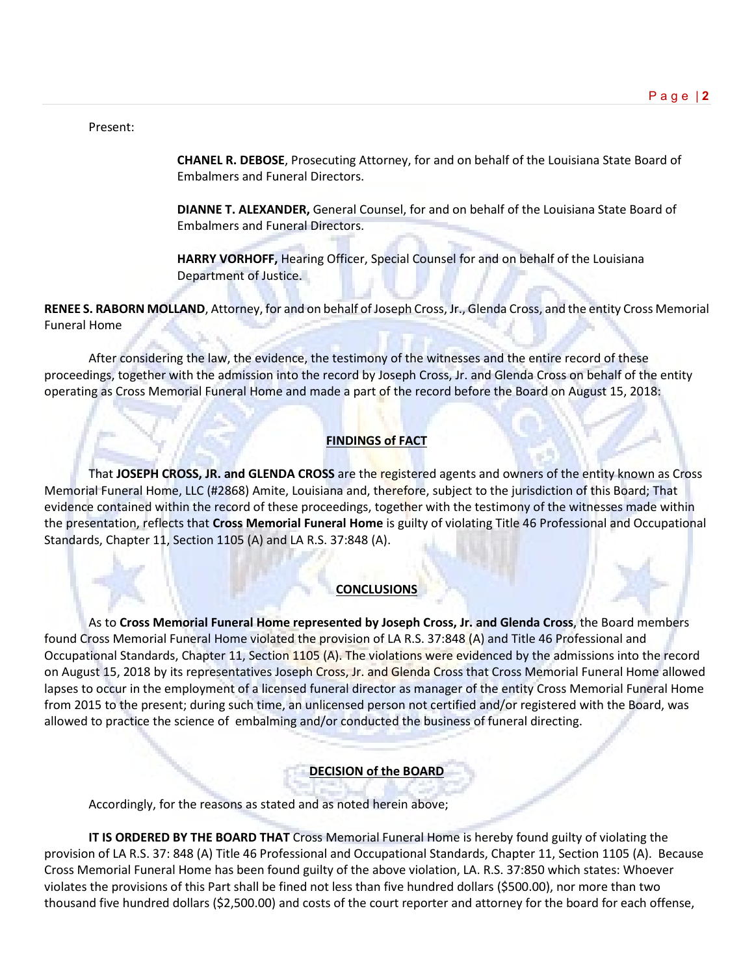#### Present:

**CHANEL R. DEBOSE**, Prosecuting Attorney, for and on behalf of the Louisiana State Board of Embalmers and Funeral Directors.

**DIANNE T. ALEXANDER,** General Counsel, for and on behalf of the Louisiana State Board of Embalmers and Funeral Directors.

**HARRY VORHOFF,** Hearing Officer, Special Counsel for and on behalf of the Louisiana Department of Justice.

**RENEE S. RABORN MOLLAND**, Attorney, for and on behalf of Joseph Cross, Jr., Glenda Cross, and the entity Cross Memorial Funeral Home

After considering the law, the evidence, the testimony of the witnesses and the entire record of these proceedings, together with the admission into the record by Joseph Cross, Jr. and Glenda Cross on behalf of the entity operating as Cross Memorial Funeral Home and made a part of the record before the Board on August 15, 2018:

# **FINDINGS of FACT**

That **JOSEPH CROSS, JR. and GLENDA CROSS** are the registered agents and owners of the entity known as Cross Memorial Funeral Home, LLC (#2868) Amite, Louisiana and, therefore, subject to the jurisdiction of this Board; That evidence contained within the record of these proceedings, together with the testimony of the witnesses made within the presentation, reflects that **Cross Memorial Funeral Home** is guilty of violating Title 46 Professional and Occupational Standards, Chapter 11, Section 1105 (A) and LA R.S. 37:848 (A).

#### **CONCLUSIONS**

As to **Cross Memorial Funeral Home represented by Joseph Cross, Jr. and Glenda Cross**, the Board members found Cross Memorial Funeral Home violated the provision of LA R.S. 37:848 (A) and Title 46 Professional and Occupational Standards, Chapter 11, Section 1105 (A). The violations were evidenced by the admissions into the record on August 15, 2018 by its representatives Joseph Cross, Jr. and Glenda Cross that Cross Memorial Funeral Home allowed lapses to occur in the employment of a licensed funeral director as manager of the entity Cross Memorial Funeral Home from 2015 to the present; during such time, an unlicensed person not certified and/or registered with the Board, was allowed to practice the science of embalming and/or conducted the business of funeral directing.

# **DECISION of the BOARD**

Accordingly, for the reasons as stated and as noted herein above;

**IT IS ORDERED BY THE BOARD THAT** Cross Memorial Funeral Home is hereby found guilty of violating the provision of LA R.S. 37: 848 (A) Title 46 Professional and Occupational Standards, Chapter 11, Section 1105 (A). Because Cross Memorial Funeral Home has been found guilty of the above violation, LA. R.S. 37:850 which states: Whoever violates the provisions of this Part shall be fined not less than five hundred dollars (\$500.00), nor more than two thousand five hundred dollars (\$2,500.00) and costs of the court reporter and attorney for the board for each offense,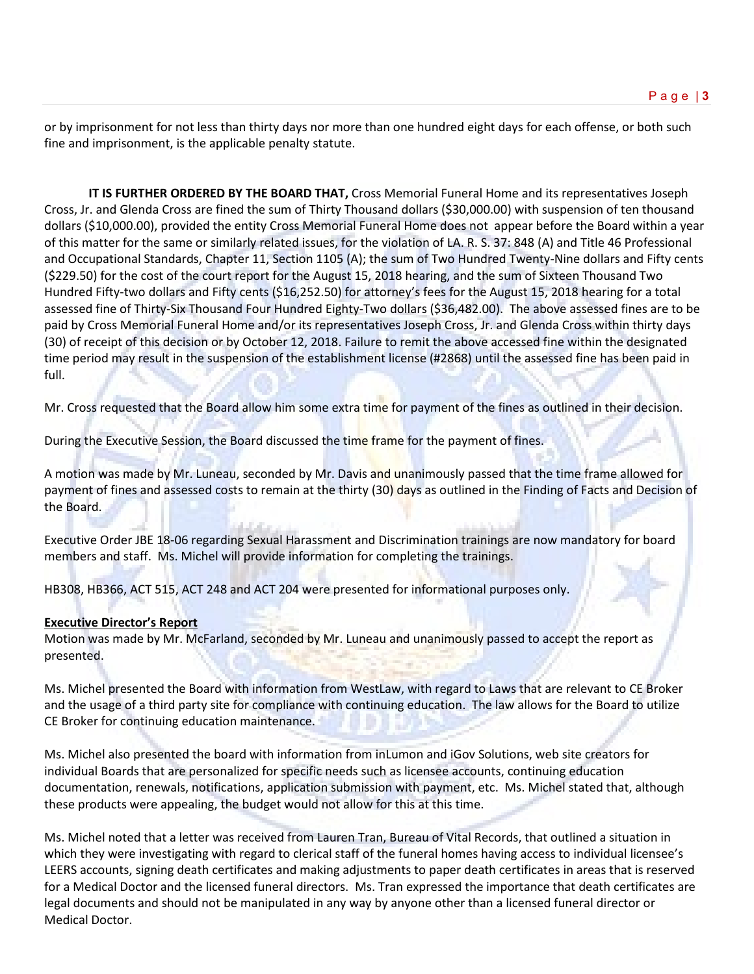or by imprisonment for not less than thirty days nor more than one hundred eight days for each offense, or both such fine and imprisonment, is the applicable penalty statute.

**IT IS FURTHER ORDERED BY THE BOARD THAT,** Cross Memorial Funeral Home and its representatives Joseph Cross, Jr. and Glenda Cross are fined the sum of Thirty Thousand dollars (\$30,000.00) with suspension of ten thousand dollars (\$10,000.00), provided the entity Cross Memorial Funeral Home does not appear before the Board within a year of this matter for the same or similarly related issues, for the violation of LA. R. S. 37: 848 (A) and Title 46 Professional and Occupational Standards, Chapter 11, Section 1105 (A); the sum of Two Hundred Twenty-Nine dollars and Fifty cents (\$229.50) for the cost of the court report for the August 15, 2018 hearing, and the sum of Sixteen Thousand Two Hundred Fifty-two dollars and Fifty cents (\$16,252.50) for attorney's fees for the August 15, 2018 hearing for a total assessed fine of Thirty-Six Thousand Four Hundred Eighty-Two dollars (\$36,482.00). The above assessed fines are to be paid by Cross Memorial Funeral Home and/or its representatives Joseph Cross, Jr. and Glenda Cross within thirty days (30) of receipt of this decision or by October 12, 2018. Failure to remit the above accessed fine within the designated time period may result in the suspension of the establishment license (#2868) until the assessed fine has been paid in full.

Mr. Cross requested that the Board allow him some extra time for payment of the fines as outlined in their decision.

During the Executive Session, the Board discussed the time frame for the payment of fines.

A motion was made by Mr. Luneau, seconded by Mr. Davis and unanimously passed that the time frame allowed for payment of fines and assessed costs to remain at the thirty (30) days as outlined in the Finding of Facts and Decision of the Board.

Executive Order JBE 18-06 regarding Sexual Harassment and Discrimination trainings are now mandatory for board members and staff. Ms. Michel will provide information for completing the trainings.

HB308, HB366, ACT 515, ACT 248 and ACT 204 were presented for informational purposes only.

#### **Executive Director's Report**

Motion was made by Mr. McFarland, seconded by Mr. Luneau and unanimously passed to accept the report as presented.

Ms. Michel presented the Board with information from WestLaw, with regard to Laws that are relevant to CE Broker and the usage of a third party site for compliance with continuing education. The law allows for the Board to utilize CE Broker for continuing education maintenance.

Ms. Michel also presented the board with information from inLumon and iGov Solutions, web site creators for individual Boards that are personalized for specific needs such as licensee accounts, continuing education documentation, renewals, notifications, application submission with payment, etc. Ms. Michel stated that, although these products were appealing, the budget would not allow for this at this time.

Ms. Michel noted that a letter was received from Lauren Tran, Bureau of Vital Records, that outlined a situation in which they were investigating with regard to clerical staff of the funeral homes having access to individual licensee's LEERS accounts, signing death certificates and making adjustments to paper death certificates in areas that is reserved for a Medical Doctor and the licensed funeral directors. Ms. Tran expressed the importance that death certificates are legal documents and should not be manipulated in any way by anyone other than a licensed funeral director or Medical Doctor.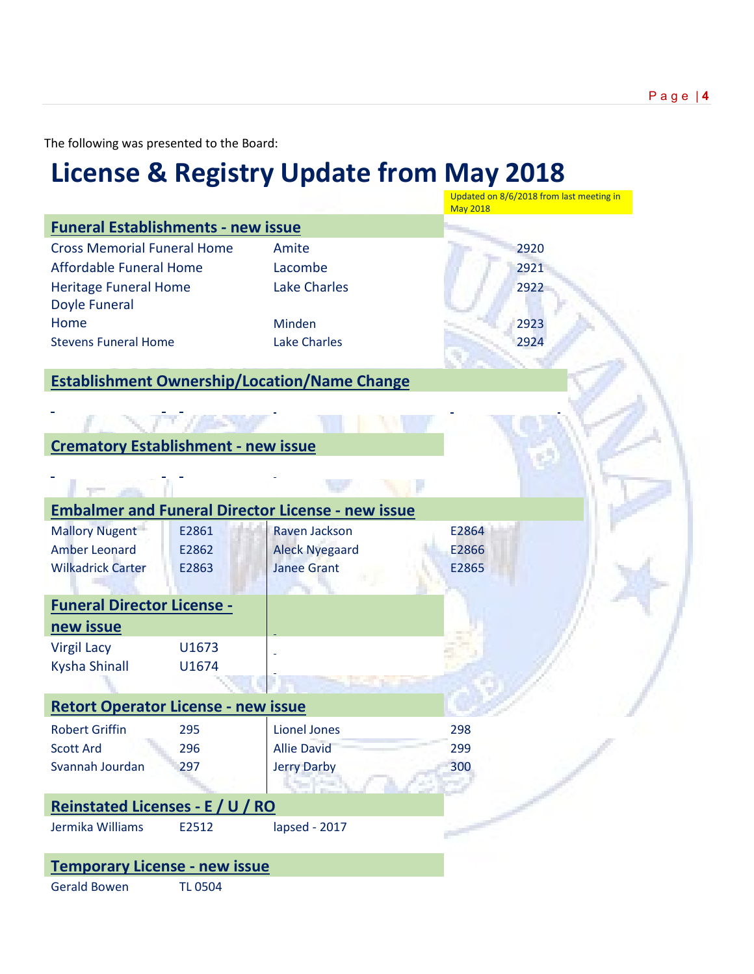The following was presented to the Board:

# **License & Registry Update from May 2018**

|                                                                                                                |                         |                                                                 | Updated on 8/6/2018 from last meeting in<br><b>May 2018</b> |
|----------------------------------------------------------------------------------------------------------------|-------------------------|-----------------------------------------------------------------|-------------------------------------------------------------|
| <b>Funeral Establishments - new issue</b>                                                                      |                         |                                                                 |                                                             |
| <b>Cross Memorial Funeral Home</b><br>Affordable Funeral Home<br><b>Heritage Funeral Home</b><br>Doyle Funeral |                         | Amite<br>Lacombe<br><b>Lake Charles</b>                         | 2920<br>2921<br>2922                                        |
| Home                                                                                                           |                         | Minden                                                          | 2923                                                        |
| <b>Stevens Funeral Home</b>                                                                                    |                         | <b>Lake Charles</b>                                             | 2924                                                        |
|                                                                                                                |                         | <b>Establishment Ownership/Location/Name Change</b>             |                                                             |
| <b>Crematory Establishment - new issue</b>                                                                     |                         |                                                                 |                                                             |
|                                                                                                                |                         |                                                                 |                                                             |
|                                                                                                                |                         | <b>Embalmer and Funeral Director License - new issue</b>        |                                                             |
| <b>Mallory Nugent</b><br><b>Amber Leonard</b><br><b>Wilkadrick Carter</b>                                      | E2861<br>E2862<br>E2863 | Raven Jackson<br><b>Aleck Nyegaard</b><br><b>Janee Grant</b>    | E2864<br>E2866<br>E2865                                     |
| <b>Funeral Director License -</b>                                                                              |                         |                                                                 |                                                             |
| new issue                                                                                                      |                         |                                                                 |                                                             |
| <b>Virgil Lacy</b><br>Kysha Shinall                                                                            | U1673<br>U1674          |                                                                 |                                                             |
| <b>Retort Operator License - new issue</b>                                                                     |                         |                                                                 |                                                             |
| <b>Robert Griffin</b><br><b>Scott Ard</b><br>Svannah Jourdan                                                   | 295<br>296<br>297       | <b>Lionel Jones</b><br><b>Allie David</b><br><b>Jerry Darby</b> | 298<br>299<br>300                                           |
| Reinstated Licenses - E / U / RO                                                                               |                         |                                                                 |                                                             |
| Jermika Williams                                                                                               | E2512                   | lapsed - 2017                                                   |                                                             |
| <b>Temporary License - new issue</b>                                                                           |                         |                                                                 |                                                             |
| <b>Gerald Bowen</b>                                                                                            | <b>TL 0504</b>          |                                                                 |                                                             |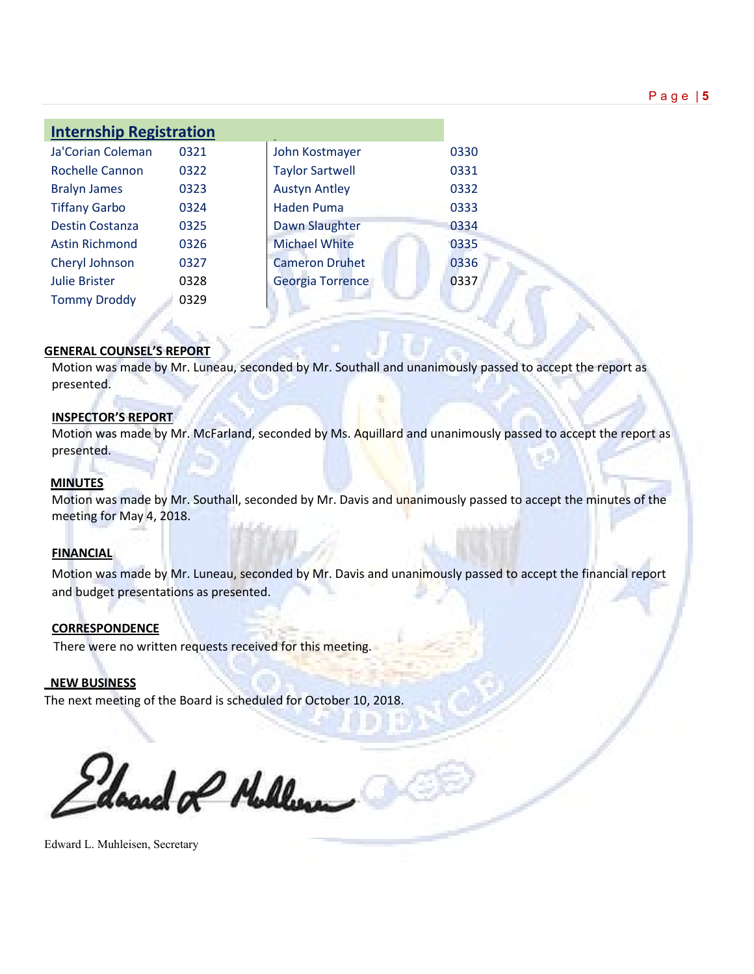| <b>Internship Registration</b> |      |                         |      |  |
|--------------------------------|------|-------------------------|------|--|
| Ja'Corian Coleman              | 0321 | John Kostmayer          | 0330 |  |
| <b>Rochelle Cannon</b>         | 0322 | <b>Taylor Sartwell</b>  | 0331 |  |
| <b>Bralyn James</b>            | 0323 | <b>Austyn Antley</b>    | 0332 |  |
| <b>Tiffany Garbo</b>           | 0324 | <b>Haden Puma</b>       | 0333 |  |
| <b>Destin Costanza</b>         | 0325 | Dawn Slaughter          | 0334 |  |
| <b>Astin Richmond</b>          | 0326 | <b>Michael White</b>    | 0335 |  |
| Cheryl Johnson                 | 0327 | <b>Cameron Druhet</b>   | 0336 |  |
| <b>Julie Brister</b>           | 0328 | <b>Georgia Torrence</b> | 0337 |  |
| <b>Tommy Droddy</b>            | 0329 |                         |      |  |

## **GENERAL COUNSEL'S REPORT**

Motion was made by Mr. Luneau, seconded by Mr. Southall and unanimously passed to accept the report as presented.

#### **INSPECTOR'S REPORT**

Motion was made by Mr. McFarland, seconded by Ms. Aquillard and unanimously passed to accept the report as presented.

#### **MINUTES**

Motion was made by Mr. Southall, seconded by Mr. Davis and unanimously passed to accept the minutes of the meeting for May 4, 2018.

#### **FINANCIAL**

Motion was made by Mr. Luneau, seconded by Mr. Davis and unanimously passed to accept the financial report and budget presentations as presented.

# **CORRESPONDENCE**

There were no written requests received for this meeting.

#### **NEW BUSINESS**

The next meeting of the Board is scheduled for October 10, 2018.

doned of Muller

Edward L. Muhleisen, Secretary